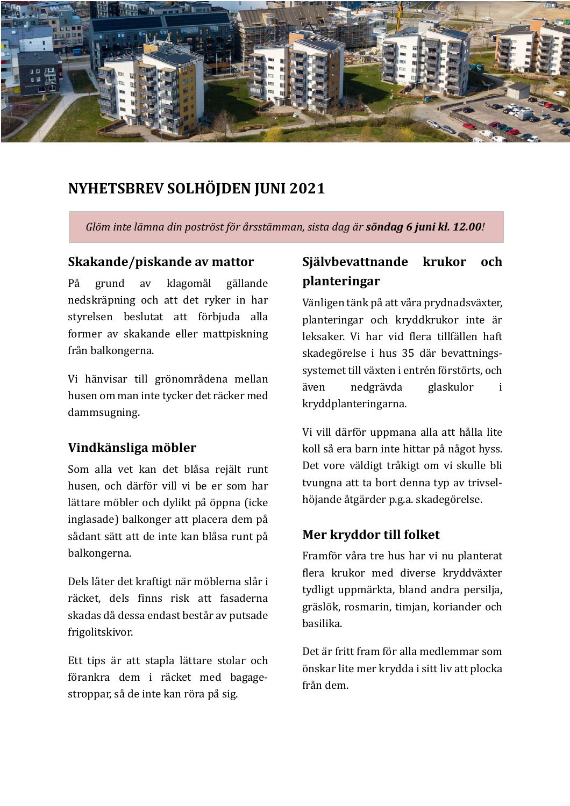

# **NYHETSBREV SOLHÖJDEN JUNI 2021**

*Glöm* inte lämna din poströst för årsstämman, sista dag är **söndag 6 juni kl. 12.00**!

### **Skakande/piskande av mattor**

På grund av klagomål gällande nedskräpning och att det ryker in har styrelsen beslutat att förbjuda alla former av skakande eller mattpiskning från balkongerna.

Vi hänvisar till grönområdena mellan husen om man inte tycker det räcker med dammsugning.

### **Vindkänsliga möbler**

Som alla vet kan det blåsa rejält runt husen, och därför vill vi be er som har lättare möbler och dylikt på öppna (icke inglasade) balkonger att placera dem på sådant sätt att de inte kan blåsa runt på balkongerna.

Dels låter det kraftigt när möblerna slår i räcket, dels finns risk att fasaderna skadas då dessa endast består av putsade frigolitskivor.

Ett tips är att stapla lättare stolar och fö rankra dem i räcket med bagagestroppar, så de inte kan röra på sig.

# **Självbevattnande krukor och planteringar**

Vänligen tänk på att våra prydnadsväxter, planteringar och kryddkrukor inte är leksaker. Vi har vid flera tillfällen haft skadegörelse i hus 35 där bevattningssystemet till växten i entrén förstörts, och även nedgrävda glaskulor i kryddplanteringarna.

Vi vill därför uppmana alla att hålla lite koll så era barn inte hittar på något hyss. Det vore väldigt tråkigt om vi skulle bli tvungna att ta bort denna typ av trivselhöjande åtgärder p.g.a. skadegörelse.

### **Mer kryddor till folket**

Framför våra tre hus har vi nu planterat flera krukor med diverse kryddväxter tydligt uppmärkta, bland andra persilja, gräslök, rosmarin, timjan, koriander och basilika.

Det är fritt fram för alla medlemmar som önskar lite mer krydda i sitt liv att plocka från dem.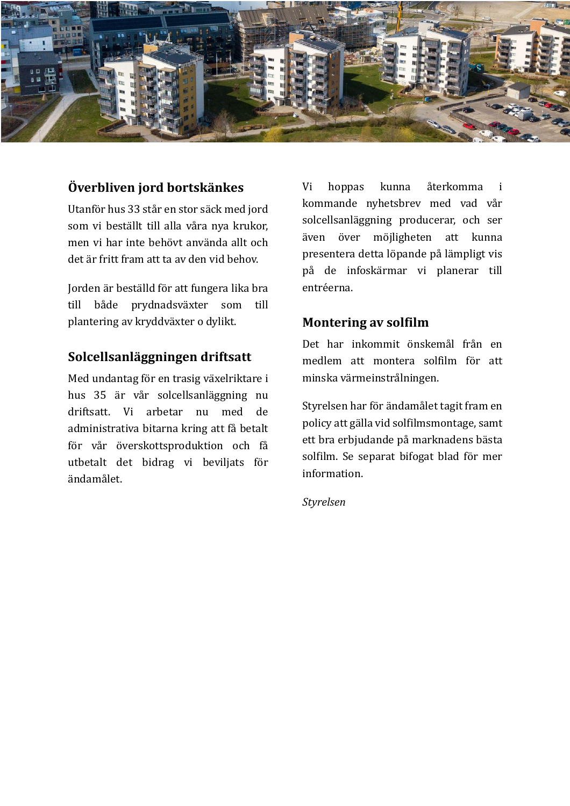

# **Överbliven jord bortskänkes**

Utanför hus 33 står en stor säck med jord som vi beställt till alla våra nya krukor, men vi har inte behövt använda allt och det är fritt fram att ta av den vid behov.

Jorden är beställd för att fungera lika bra till både prydnadsväxter som till plantering av kryddväxter o dylikt.

## **Solcellsanläggningen driftsatt**

Med undantag för en trasig växelriktare i hus 35 är vår solcellsanläggning nu driftsatt. Vi arbetar nu med de administrativa bitarna kring att få betalt för vår överskottsproduktion och få utbetalt det bidrag vi beviljats för ändamålet.

Vi hoppas kunna återkomma i kommande nyhetsbrev med vad vår solcellsanläggning producerar, och ser även över möjligheten att kunna presentera detta löpande på lämpligt vis på de infoskä rmar vi planerar till entréerna.

### **Montering av solfilm**

Det har inkommit önskemål från en medlem att montera solfilm för att minska vä rmeinstrålningen.

Styrelsen har för ändamålet tagit fram en policy att gälla vid solfilmsmontage, samt ett bra erbjudande på marknadens bästa solfilm. Se separat bifogat blad för mer information.

*Styrelsen*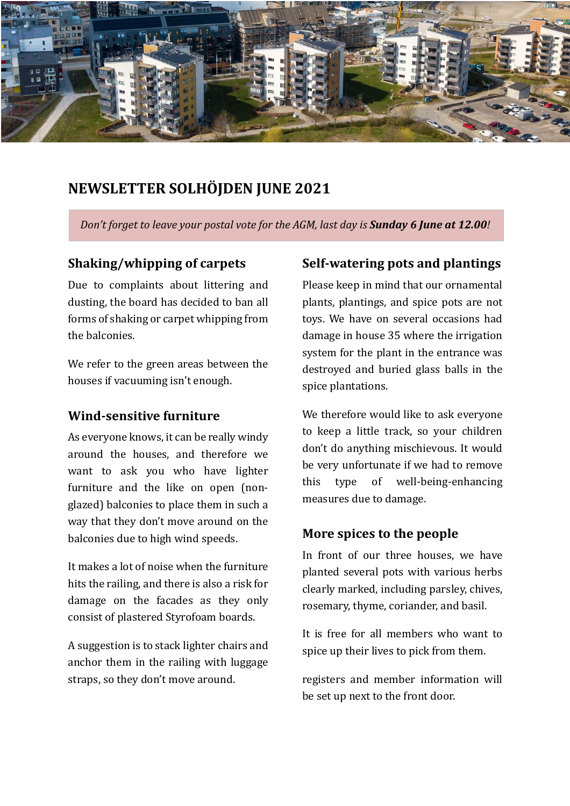

# **NEWSLETTER SOLHÖJDEN JUNE 2021**

*Don't forget to leave your postal vote for the AGM, last day is Sunday 6 June at 12.00<i>!* 

## **Shaking/whipping of carpets**

Due to complaints about littering and dusting, the board has decided to ban all forms of shaking or carpet whipping from the **balconies**.

We refer to the green areas between the houses if vacuuming isn't enough.

### **Wind-sensitive furniture**

As everyone knows, it can be really windy around the houses, and therefore we want to ask you who have lighter furniture and the like on open (nonglazed) balconies to place them in such a way that they don't move around on the balconies due to high wind speeds.

It makes a lot of noise when the furniture hits the railing, and there is also a risk for damage on the facades as they only consist of plastered Styrofoam boards.

A suggestion is to stack lighter chairs and anchor them in the railing with luggage straps, so they don't move around.

## **Self-watering pots and plantings**

Please keep in mind that our ornamental plants, plantings, and spice pots are not toys. We have on several occasions had damage in house 35 where the irrigation system for the plant in the entrance was destroyed and buried glass balls in the spice plantations.

We therefore would like to ask everyone to keep a little track, so your children don't do anything mischievous. It would be very unfortunate if we had to remove this type of well-being-enhancing measures due to damage.

## **More spices to the people**

In front of our three houses, we have planted several pots with various herbs clearly marked, including parsley, chives, rosemary, thyme, coriander, and basil.

It is free for all members who want to spice up their lives to pick from them.

registers and member information will be set up next to the front door.